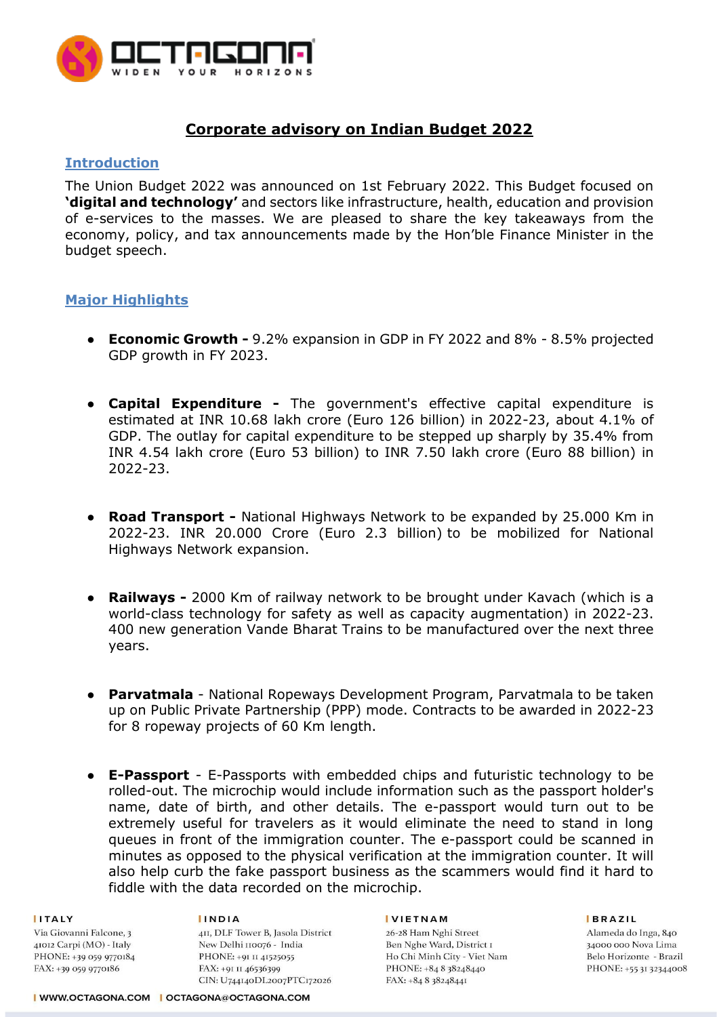

# **Corporate advisory on Indian Budget 2022**

### **Introduction**

The Union Budget 2022 was announced on 1st February 2022. This Budget focused on **'digital and technology'** and sectors like infrastructure, health, education and provision of e-services to the masses. We are pleased to share the key takeaways from the economy, policy, and tax announcements made by the Hon'ble Finance Minister in the budget speech.

### **Major Highlights**

- **Economic Growth -** 9.2% expansion in GDP in FY 2022 and 8% 8.5% projected GDP growth in FY 2023.
- **Capital Expenditure -** The government's effective capital expenditure is estimated at INR 10.68 lakh crore (Euro 126 billion) in 2022-23, about 4.1% of GDP. The outlay for capital expenditure to be stepped up sharply by 35.4% from INR 4.54 lakh crore (Euro 53 billion) to INR 7.50 lakh crore (Euro 88 billion) in 2022-23.
- **Road Transport -** National Highways Network to be expanded by 25.000 Km in 2022-23. INR 20.000 Crore (Euro 2.3 billion) to be mobilized for National Highways Network expansion.
- **Railways -** 2000 Km of railway network to be brought under Kavach (which is a world-class technology for safety as well as capacity augmentation) in 2022-23. 400 new generation Vande Bharat Trains to be manufactured over the next three years.
- **Parvatmala** National Ropeways Development Program, Parvatmala to be taken up on Public Private Partnership (PPP) mode. Contracts to be awarded in 2022-23 for 8 ropeway projects of 60 Km length.
- **E-Passport** E-Passports with embedded chips and futuristic technology to be rolled-out. The microchip would include information such as the passport holder's name, date of birth, and other details. The e-passport would turn out to be extremely useful for travelers as it would eliminate the need to stand in long queues in front of the immigration counter. The e-passport could be scanned in minutes as opposed to the physical verification at the immigration counter. It will also help curb the fake passport business as the scammers would find it hard to fiddle with the data recorded on the microchip.

#### **ITALY** Via Giovanni Falcone, 3  $41012$  Carpi (MO) - Italy PHONE: +39 059 9770184 FAX: +39 059 9770186

#### **IINDIA**

4II, DLF Tower B, Jasola District New Delhi 110076 - India PHONE: +91 II 41525055 FAX: +91 II 46536399 CIN: U744140DL2007PTC172026

#### **IVIETNAM**

26-28 Ham Nghi Street Ben Nghe Ward, District I Ho Chi Minh City - Viet Nam PHONE: +84 8 38248440 FAX: +84 8 38248441

**BRAZIL**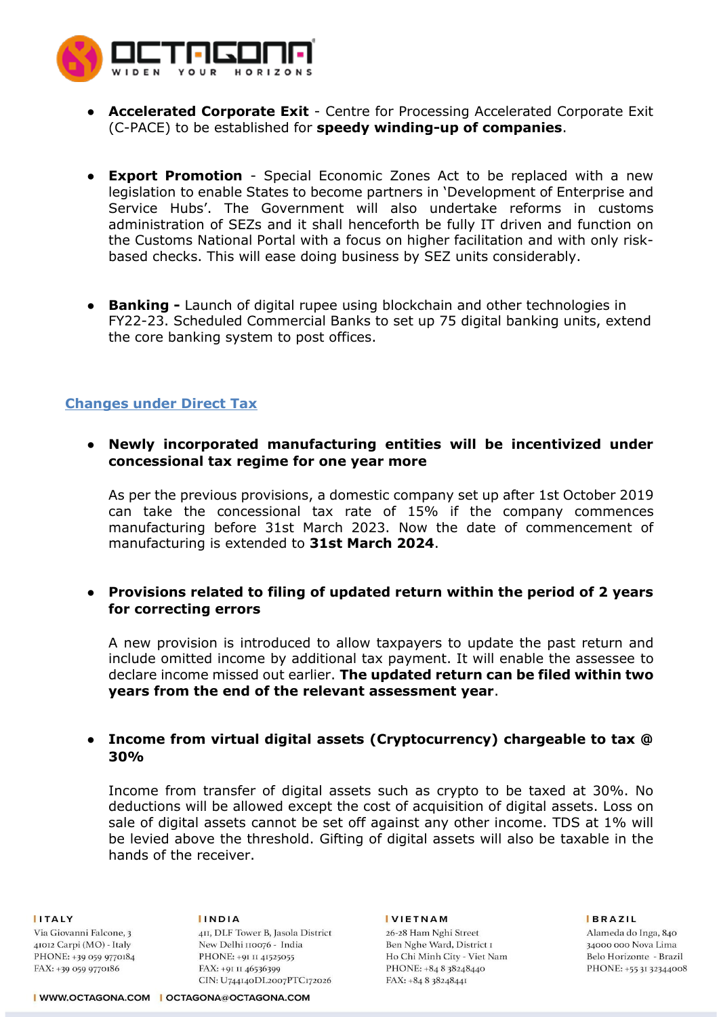

- **Accelerated Corporate Exit** Centre for Processing Accelerated Corporate Exit (C-PACE) to be established for **speedy winding-up of companies**.
- **Export Promotion** Special Economic Zones Act to be replaced with a new legislation to enable States to become partners in 'Development of Enterprise and Service Hubs'. The Government will also undertake reforms in customs administration of SEZs and it shall henceforth be fully IT driven and function on the Customs National Portal with a focus on higher facilitation and with only riskbased checks. This will ease doing business by SEZ units considerably.
- **Banking -** Launch of digital rupee using blockchain and other technologies in FY22-23. Scheduled Commercial Banks to set up 75 digital banking units, extend the core banking system to post offices.

## **Changes under Direct Tax**

● **Newly incorporated manufacturing entities will be incentivized under concessional tax regime for one year more**

As per the previous provisions, a domestic company set up after 1st October 2019 can take the concessional tax rate of 15% if the company commences manufacturing before 31st March 2023. Now the date of commencement of manufacturing is extended to **31st March 2024**.

● **Provisions related to filing of updated return within the period of 2 years for correcting errors**

A new provision is introduced to allow taxpayers to update the past return and include omitted income by additional tax payment. It will enable the assessee to declare income missed out earlier. **The updated return can be filed within two years from the end of the relevant assessment year**.

### ● **Income from virtual digital assets (Cryptocurrency) chargeable to tax @ 30%**

Income from transfer of digital assets such as crypto to be taxed at 30%. No deductions will be allowed except the cost of acquisition of digital assets. Loss on sale of digital assets cannot be set off against any other income. TDS at 1% will be levied above the threshold. Gifting of digital assets will also be taxable in the hands of the receiver.

#### **ITALY**

Via Giovanni Falcone, 3 41012 Carpi (MO) - Italy PHONE: +39 059 9770184 FAX: +39 059 9770186

**INDIA** 4II, DLF Tower B, Jasola District New Delhi 110076 - India PHONE: +91 II 41525055 FAX: +91 II 46536399 CIN: U744140DL2007PTC172026

#### **IVIETNAM**

26-28 Ham Nghi Street Ben Nghe Ward, District I Ho Chi Minh City - Viet Nam PHONE: +84 8 38248440 FAX: +84 8 38248441

**BRAZIL**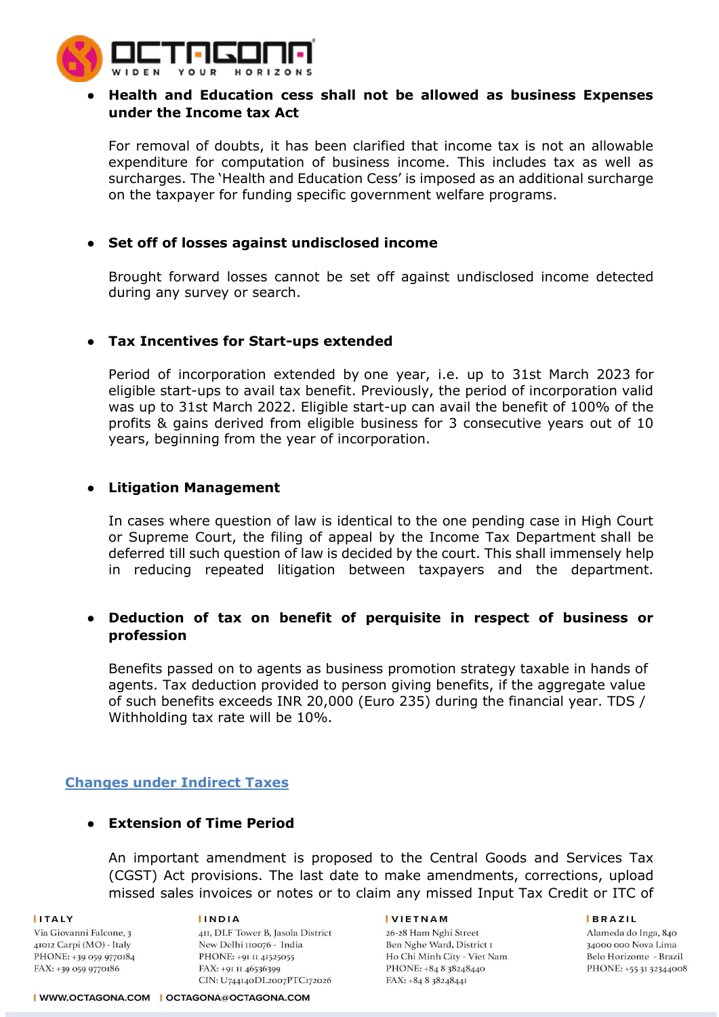

# ● **Health and Education cess shall not be allowed as business Expenses under the Income tax Act**

For removal of doubts, it has been clarified that income tax is not an allowable expenditure for computation of business income. This includes tax as well as surcharges. The 'Health and Education Cess' is imposed as an additional surcharge on the taxpayer for funding specific government welfare programs.

# ● **Set off of losses against undisclosed income**

Brought forward losses cannot be set off against undisclosed income detected during any survey or search.

# ● **Tax Incentives for Start-ups extended**

Period of incorporation extended by one year, i.e. up to 31st March 2023 for eligible start-ups to avail tax benefit. Previously, the period of incorporation valid was up to 31st March 2022. Eligible start-up can avail the benefit of 100% of the profits & gains derived from eligible business for 3 consecutive years out of 10 years, beginning from the year of incorporation.

# ● **Litigation Management**

In cases where question of law is identical to the one pending case in High Court or Supreme Court, the filing of appeal by the Income Tax Department shall be deferred till such question of law is decided by the court. This shall immensely help in reducing repeated litigation between taxpayers and the department.

# **Deduction of tax on benefit of perquisite in respect of business or profession**

Benefits passed on to agents as business promotion strategy taxable in hands of agents. Tax deduction provided to person giving benefits, if the aggregate value of such benefits exceeds INR 20,000 (Euro 235) during the financial year. TDS / Withholding tax rate will be 10%.

# **Changes under Indirect Taxes**

# ● **Extension of Time Period**

An important amendment is proposed to the Central Goods and Services Tax (CGST) Act provisions. The last date to make amendments, corrections, upload missed sales invoices or notes or to claim any missed Input Tax Credit or ITC of

**ITALY** Via Giovanni Falcone, 3 41012 Carpi (MO) - Italy PHONE: +39 059 9770184 FAX: +39 059 9770186

#### **IINDIA**

411, DLF Tower B, Jasola District New Delhi 110076 - India PHONE: +91 II 41525055 FAX: +91 II 46536399 CIN: U744140DL2007PTC172026

#### **IVIETNAM**

26-28 Ham Nghi Street Ben Nghe Ward, District I Ho Chi Minh City - Viet Nam PHONE: +84 8 38248440 FAX: +84 8 38248441

**BRAZIL**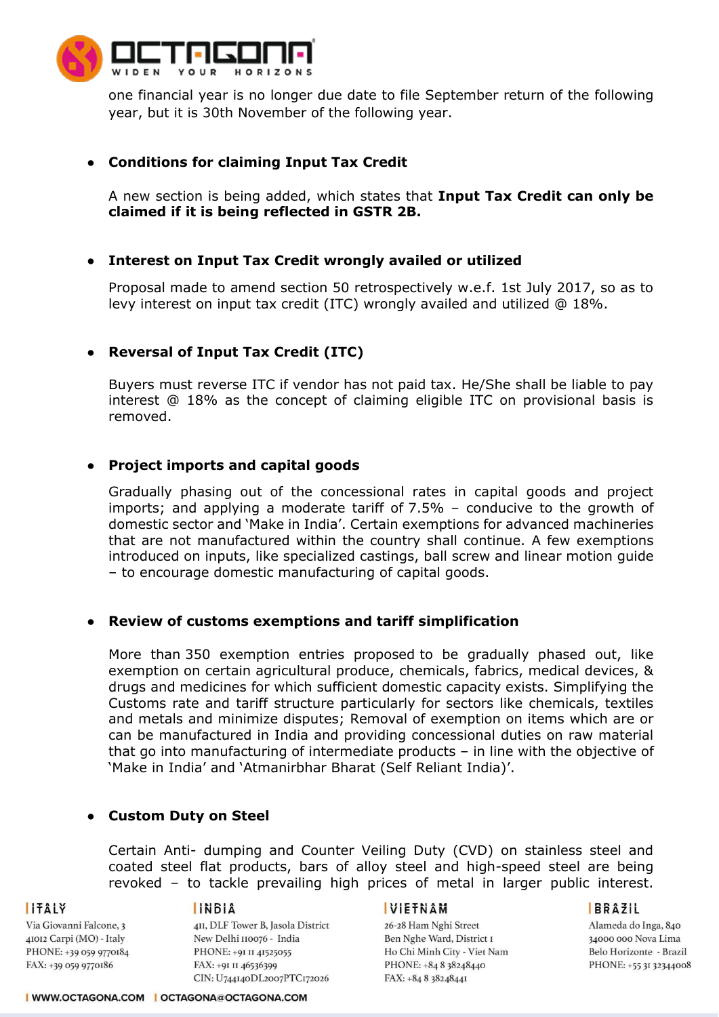

one financial year is no longer due date to file September return of the following year, but it is 30th November of the following year.

## ● **Conditions for claiming Input Tax Credit**

A new section is being added, which states that **Input Tax Credit can only be claimed if it is being reflected in GSTR 2B.**

### ● **Interest on Input Tax Credit wrongly availed or utilized**

Proposal made to amend section 50 retrospectively w.e.f. 1st July 2017, so as to levy interest on input tax credit (ITC) wrongly availed and utilized @ 18%.

## ● **Reversal of Input Tax Credit (ITC)**

Buyers must reverse ITC if vendor has not paid tax. He/She shall be liable to pay interest @ 18% as the concept of claiming eligible ITC on provisional basis is removed.

### ● **Project imports and capital goods**

Gradually phasing out of the concessional rates in capital goods and project imports; and applying a moderate tariff of 7.5% – conducive to the growth of domestic sector and 'Make in India'. Certain exemptions for advanced machineries that are not manufactured within the country shall continue. A few exemptions introduced on inputs, like specialized castings, ball screw and linear motion guide – to encourage domestic manufacturing of capital goods.

### ● **Review of customs exemptions and tariff simplification**

More than 350 exemption entries proposed to be gradually phased out, like exemption on certain agricultural produce, chemicals, fabrics, medical devices, & drugs and medicines for which sufficient domestic capacity exists. Simplifying the Customs rate and tariff structure particularly for sectors like chemicals, textiles and metals and minimize disputes; Removal of exemption on items which are or can be manufactured in India and providing concessional duties on raw material that go into manufacturing of intermediate products – in line with the objective of 'Make in India' and 'Atmanirbhar Bharat (Self Reliant India)'.

### ● **Custom Duty on Steel**

Certain Anti- dumping and Counter Veiling Duty (CVD) on stainless steel and coated steel flat products, bars of alloy steel and high-speed steel are being revoked – to tackle prevailing high prices of metal in larger public interest.

**ITALY** 

Via Giovanni Falcone, 3 41012 Carpi (MO) - Italy PHONE: +39 059 9770184 FAX: +39 059 9770186

#### **INBIA**

411, DLF Tower B, Jasola District New Delhi 110076 - India PHONE: +91 II 41525055 FAX: +91 II 46536399 CIN: U744140DL2007PTC172026

#### **VIETNAM**

26-28 Ham Nghi Street Ben Nghe Ward, District I Ho Chi Minh City - Viet Nam PHONE: +84 8 38248440 FAX: +84 8 38248441

#### **BRAZIL**